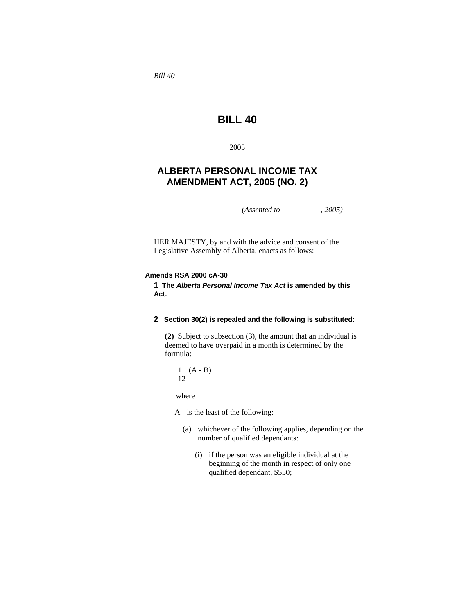*Bill 40* 

# **BILL 40**

2005

# **ALBERTA PERSONAL INCOME TAX AMENDMENT ACT, 2005 (NO. 2)**

*(Assented to , 2005)* 

HER MAJESTY, by and with the advice and consent of the Legislative Assembly of Alberta, enacts as follows:

#### **Amends RSA 2000 cA-30**

**1 The** *Alberta Personal Income Tax Act* **is amended by this Act.** 

# **2 Section 30(2) is repealed and the following is substituted:**

**(2)** Subject to subsection (3), the amount that an individual is deemed to have overpaid in a month is determined by the formula:

$$
\frac{1}{12} (A - B)
$$

where

A is the least of the following:

- (a) whichever of the following applies, depending on the number of qualified dependants:
	- (i) if the person was an eligible individual at the beginning of the month in respect of only one qualified dependant, \$550;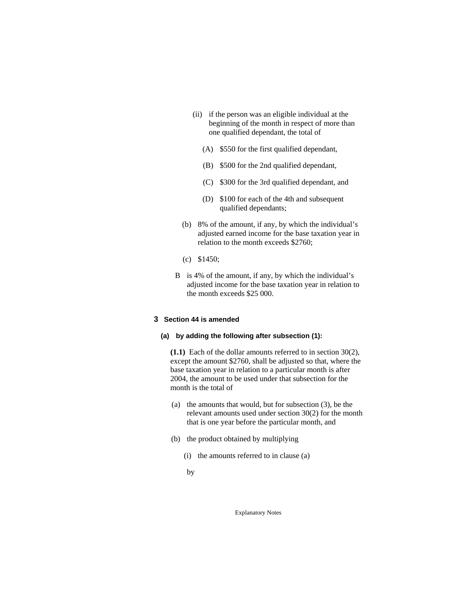- (ii) if the person was an eligible individual at the beginning of the month in respect of more than one qualified dependant, the total of
	- (A) \$550 for the first qualified dependant,
	- (B) \$500 for the 2nd qualified dependant,
	- (C) \$300 for the 3rd qualified dependant, and
	- (D) \$100 for each of the 4th and subsequent qualified dependants;
- (b) 8% of the amount, if any, by which the individual's adjusted earned income for the base taxation year in relation to the month exceeds \$2760;
- (c) \$1450;
- B is 4% of the amount, if any, by which the individual's adjusted income for the base taxation year in relation to the month exceeds \$25 000.

#### **3 Section 44 is amended**

## **(a) by adding the following after subsection (1):**

**(1.1)** Each of the dollar amounts referred to in section 30(2), except the amount \$2760, shall be adjusted so that, where the base taxation year in relation to a particular month is after 2004, the amount to be used under that subsection for the month is the total of

- (a) the amounts that would, but for subsection (3), be the relevant amounts used under section 30(2) for the month that is one year before the particular month, and
- (b) the product obtained by multiplying
	- (i) the amounts referred to in clause (a)
	- by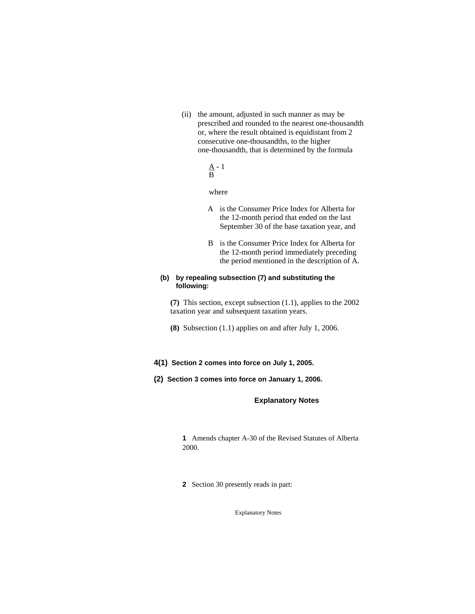(ii) the amount, adjusted in such manner as may be prescribed and rounded to the nearest one-thousandth or, where the result obtained is equidistant from 2 consecutive one-thousandths, to the higher one-thousandth, that is determined by the formula

> $\underline{A}$  - 1 B

where

- A is the Consumer Price Index for Alberta for the 12-month period that ended on the last September 30 of the base taxation year, and
- B is the Consumer Price Index for Alberta for the 12-month period immediately preceding the period mentioned in the description of A.

## **(b) by repealing subsection (7) and substituting the following:**

**(7)** This section, except subsection (1.1), applies to the 2002 taxation year and subsequent taxation years.

- **(8)** Subsection (1.1) applies on and after July 1, 2006.
- **4(1) Section 2 comes into force on July 1, 2005.**
- **(2) Section 3 comes into force on January 1, 2006.**

# **Explanatory Notes**

**1** Amends chapter A-30 of the Revised Statutes of Alberta 2000.

**2** Section 30 presently reads in part: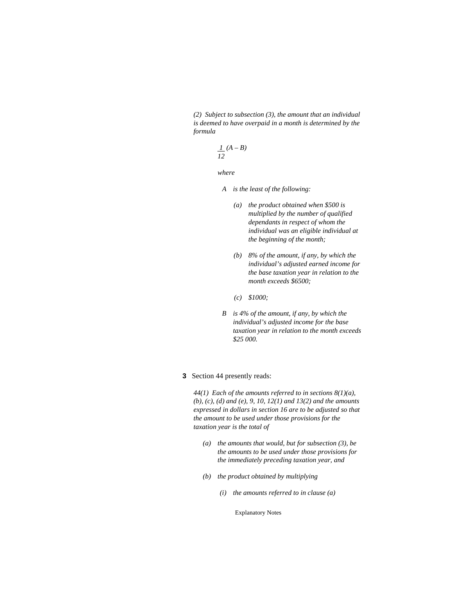*(2) Subject to subsection (3), the amount that an individual is deemed to have overpaid in a month is determined by the formula* 

$$
\frac{1}{12}(A-B)
$$

 *where* 

- *A is the least of the following:* 
	- *(a) the product obtained when \$500 is multiplied by the number of qualified dependants in respect of whom the individual was an eligible individual at the beginning of the month;*
	- *(b) 8% of the amount, if any, by which the individual's adjusted earned income for the base taxation year in relation to the month exceeds \$6500;*
	- *(c) \$1000;*
- *B is 4% of the amount, if any, by which the individual's adjusted income for the base taxation year in relation to the month exceeds \$25 000.*

#### **3** Section 44 presently reads:

*44(1) Each of the amounts referred to in sections 8(1)(a), (b), (c), (d) and (e), 9, 10, 12(1) and 13(2) and the amounts expressed in dollars in section 16 are to be adjusted so that the amount to be used under those provisions for the taxation year is the total of* 

- *(a) the amounts that would, but for subsection (3), be the amounts to be used under those provisions for the immediately preceding taxation year, and*
- *(b) the product obtained by multiplying* 
	- *(i) the amounts referred to in clause (a)*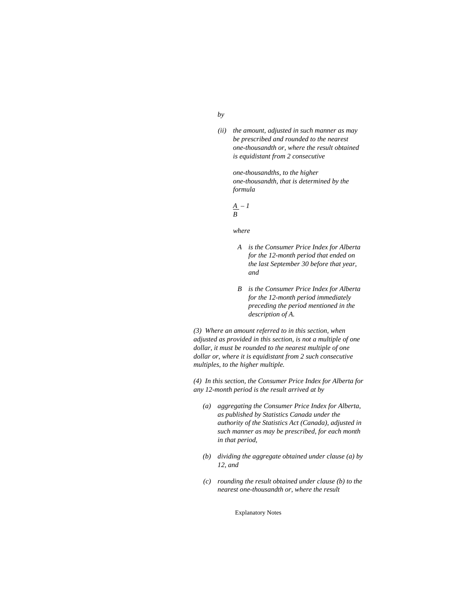#### *by*

*(ii) the amount, adjusted in such manner as may be prescribed and rounded to the nearest one-thousandth or, where the result obtained is equidistant from 2 consecutive* 

> *one-thousandths, to the higher one-thousandth, that is determined by the formula*

$$
\frac{A}{B} - I
$$

 *where* 

- *A is the Consumer Price Index for Alberta for the 12-month period that ended on the last September 30 before that year, and*
- *B is the Consumer Price Index for Alberta for the 12-month period immediately preceding the period mentioned in the description of A.*

*(3) Where an amount referred to in this section, when adjusted as provided in this section, is not a multiple of one dollar, it must be rounded to the nearest multiple of one dollar or, where it is equidistant from 2 such consecutive multiples, to the higher multiple.* 

*(4) In this section, the Consumer Price Index for Alberta for any 12-month period is the result arrived at by* 

- *(a) aggregating the Consumer Price Index for Alberta, as published by Statistics Canada under the authority of the Statistics Act (Canada), adjusted in such manner as may be prescribed, for each month in that period,*
- *(b) dividing the aggregate obtained under clause (a) by 12, and*
- *(c) rounding the result obtained under clause (b) to the nearest one-thousandth or, where the result*